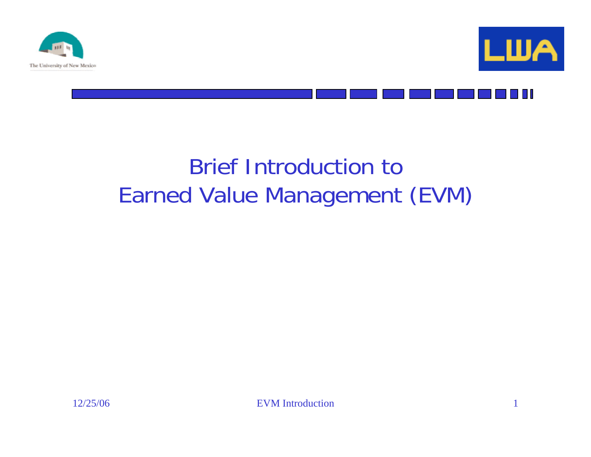



# Brief Introduction toEarned Value Management (EVM)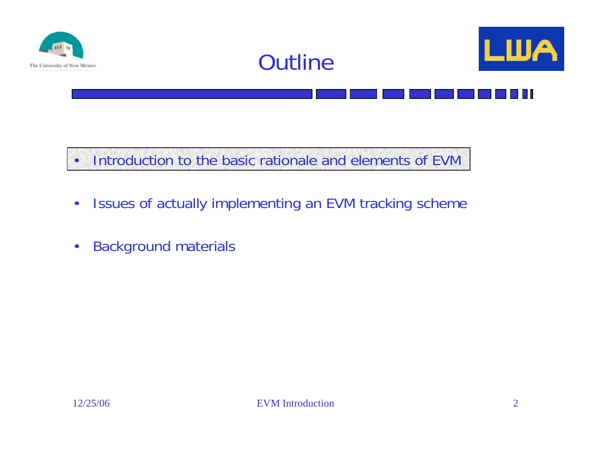





•Introduction to the basic rationale and elements of EVM

- •Issues of actually implementing an EVM tracking scheme
- •Background materials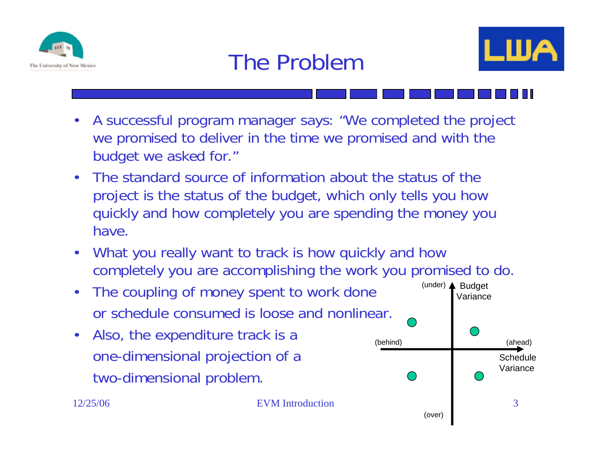

# The Problem



- $\bullet$  A successful program manager says: "We completed the project we promised to deliver in the time we promised and with the budget we asked for."
- $\bullet$  The standard source of information about the status of the project is the status of the budget, which only tells you how quickly and how completely you are spending the money you have.
- $\bullet$  What you really want to track is how quickly and how completely you are accomplishing the work you promised to do.
- $\bullet$  The coupling of money spent to work done or schedule consumed is loose and nonlinear.
- $\bullet$  Also, the expenditure track is a one-dimensional projection of a two-dimensional problem.

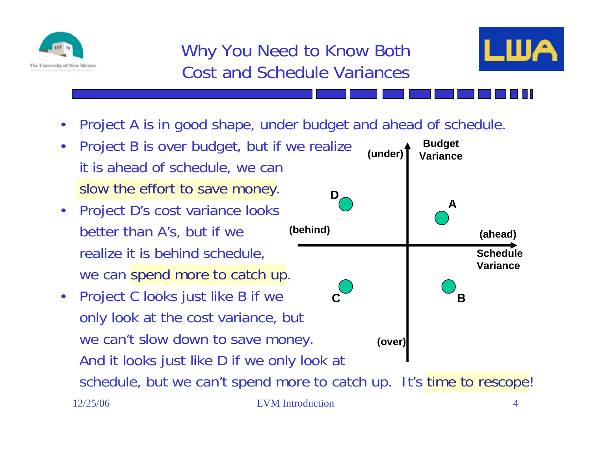



- •Project A is in good shape, under budget and ahead of schedule.
- $\bullet$  Project B is over budget, but if we realize it is ahead of schedule, we can slow the effort to save money. • Project D's cost variance looks **Budget AD**
	- better than A's, but if we realize it is behind schedule, we can spend more to catch up.
	- 12/25/06 EVM Introduction 4• Project C looks just like B if we only look at the cost variance, but we can't slow down to save money. And it looks just like D if we only look at schedule, but we can't spend more to catch up. It's time to rescope! **(over) CB**

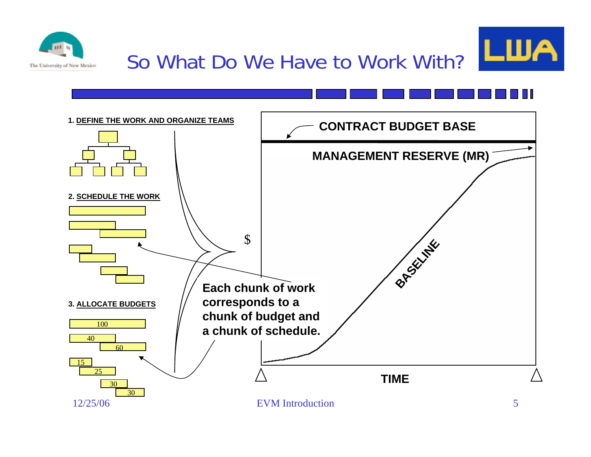



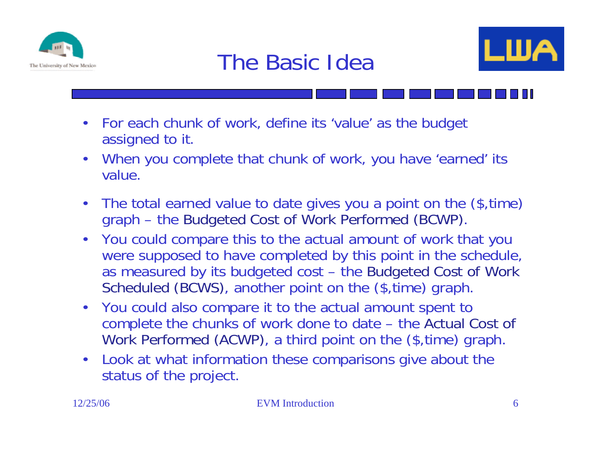





- $\bullet$  For each chunk of work, define its 'value' as the budget assigned to it.
- $\bullet$  When you complete that chunk of work, you have 'earned' its value.
- $\bullet$  The total earned value to date gives you a point on the (\$,time) graph – the Budgeted Cost of Work Performed (BCWP).
- • You could compare this to the actual amount of work that you were supposed to have completed by this point in the schedule, as measured by its budgeted cost – the Budgeted Cost of Work Scheduled (BCWS), another point on the  $$,$  time) graph.
- $\bullet$ You could also compare it to the actual amount spent to complete the chunks of work done to date – the Actual Cost of Work Performed (ACWP), a third point on the (\$,time) graph.
- $\bullet$  Look at what information these comparisons give about the status of the project.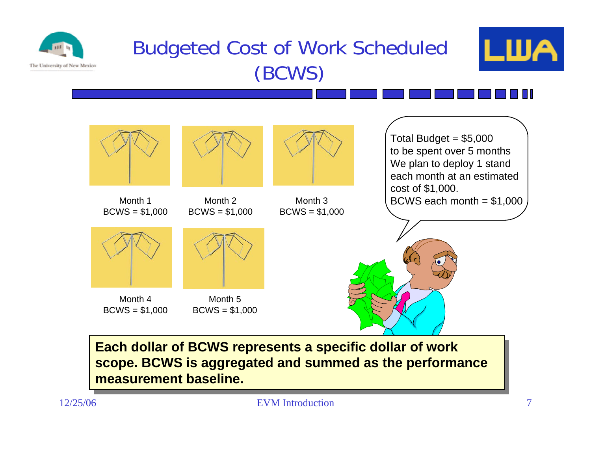

### Budgeted Cost of Work Scheduled (BCWS)





**Each dollar of BCWS represents a specific dollar of work Each dollar of BCWS represents a specific dollar of work scope. BCWS is aggregated and summed as the performance scope. BCWS is aggregated and summed as the performance measurement baseline.measurement baseline.**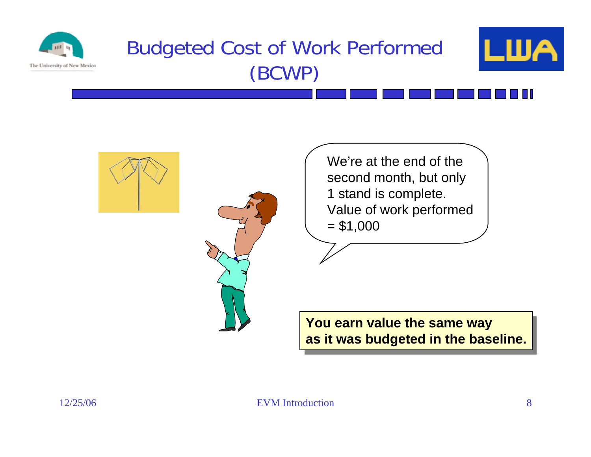

### Budgeted Cost of Work Performed (BCWP)





We're at the end of thesecond month, but only 1 stand is complete. Value of work performed  $= $1,000$ 

**You earn value the same way You earn value the same way as it was budgeted in the baseline. as it was budgeted in the baseline.**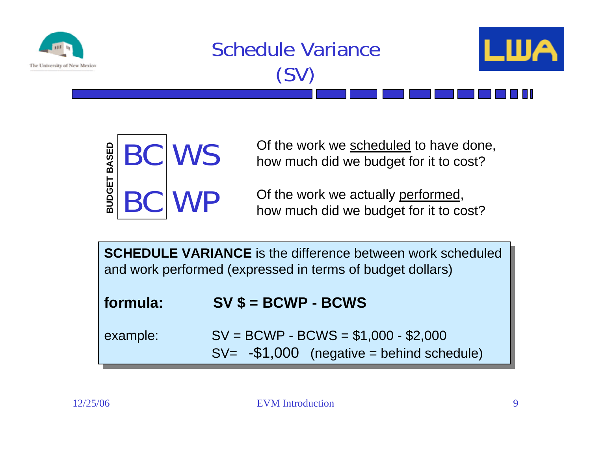

### Schedule Variance(SV)



BC WS **BUDGET BASED BUDGET BASED**BC WP

Of the work we <u>scheduled</u> to have done, how much did we budget for it to cost?

Of the work we actually performed, how much did we budget for it to cost?

**SCHEDULE VARIANCE** is the difference between work scheduled **SCHEDULE VARIANCE** is the difference between work scheduled and work performed (expressed in terms of budget dollars) and work performed (expressed in terms of budget dollars)

| formula: | $SV$ \$ = BCWP - BCWS |
|----------|-----------------------|
|----------|-----------------------|

| example: | $SV = BCWP - BCWS = $1,000 - $2,000$       |
|----------|--------------------------------------------|
|          | $SV=-\$1,000$ (negative = behind schedule) |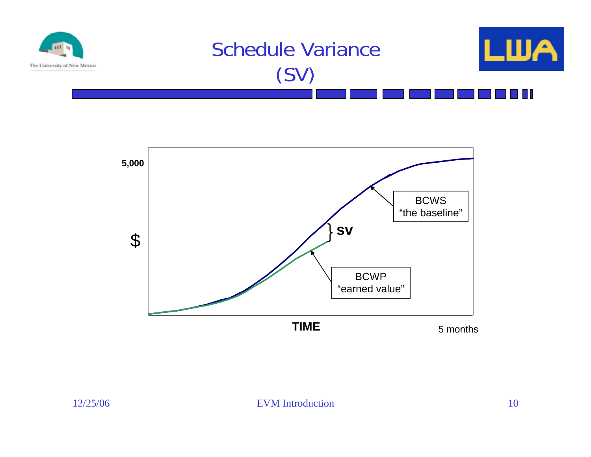

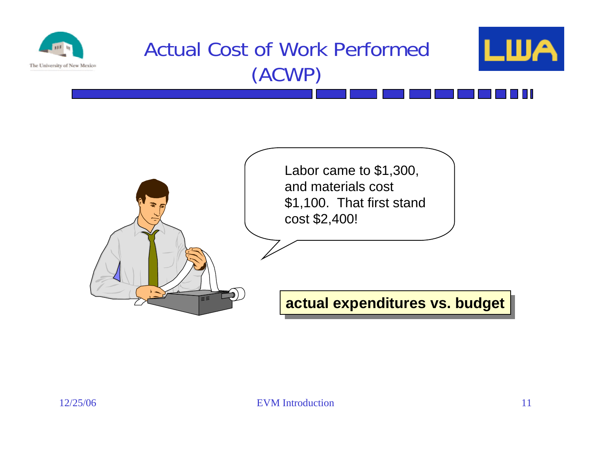

### Actual Cost of Work Performed(ACWP)



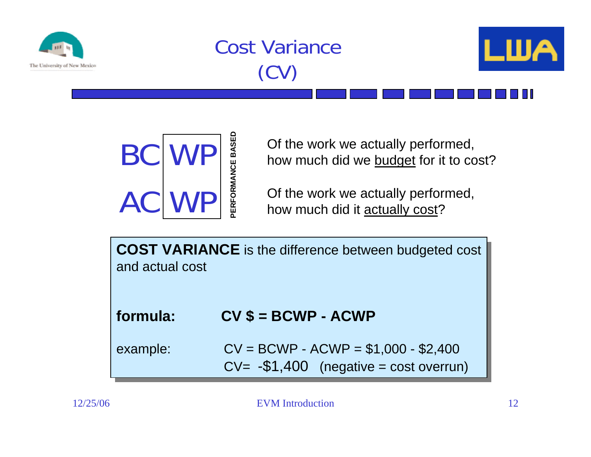







Of the work we actually performed, how much did we **budget** for it to cost?

Of the work we actually performed, how much did it <u>actually cost</u>?

| <b>COST VARIANCE</b> is the difference between budgeted cost<br>and actual cost |                                                                                   |  |  |  |
|---------------------------------------------------------------------------------|-----------------------------------------------------------------------------------|--|--|--|
| formula:                                                                        | $CV$ \$ = BCWP - ACWP                                                             |  |  |  |
| example:                                                                        | $CV = BCWP - ACWP = $1,000 - $2,400$<br>$CV = -\$1,400$ (negative = cost overrun) |  |  |  |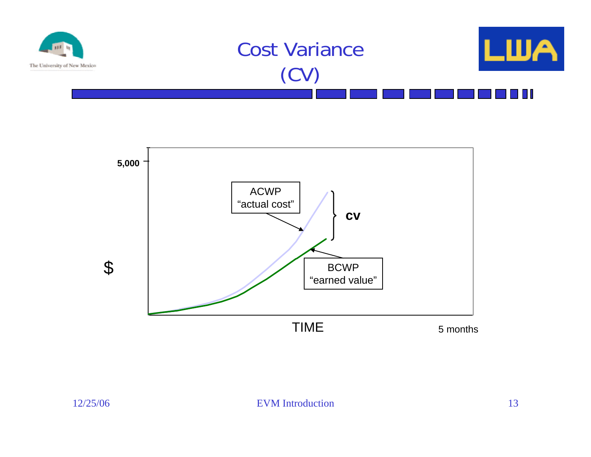

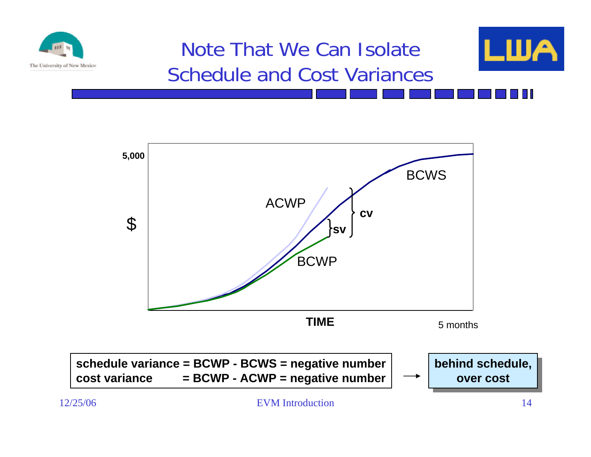



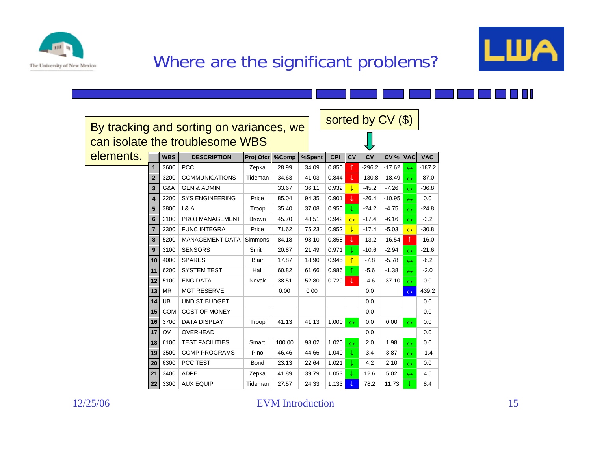



 $\mathbb{R}^n$ 

### Where are the significant problems?

| sorted by CV (\$)<br>By tracking and sorting on variances, we |                         |            |                        |              |        |        |            |                   |           |             |                   |            |
|---------------------------------------------------------------|-------------------------|------------|------------------------|--------------|--------|--------|------------|-------------------|-----------|-------------|-------------------|------------|
| can isolate the troublesome WBS                               |                         |            |                        |              |        |        |            |                   |           |             |                   |            |
|                                                               |                         |            |                        |              |        |        |            |                   |           |             |                   |            |
| elements.                                                     |                         | <b>WBS</b> | <b>DESCRIPTION</b>     | Proj Ofcr    | %Comp  | %Spent | <b>CPI</b> | <b>CV</b>         | <b>CV</b> | <b>CV %</b> | <b>VAC</b>        | <b>VAC</b> |
|                                                               | $\overline{\mathbf{1}}$ | 3600       | <b>PCC</b>             | Zepka        | 28.99  | 34.09  | 0.850      | ↑                 | $-296.2$  | $-17.62$    | $\leftrightarrow$ | $-187.2$   |
|                                                               | $\mathbf{2}$            | 3200       | <b>COMMUNICATIONS</b>  | Tideman      | 34.63  | 41.03  | 0.844      | ↓                 | $-130.8$  | $-18.49$    | $\leftrightarrow$ | $-87.0$    |
|                                                               | 3                       | G&A        | <b>GEN &amp; ADMIN</b> |              | 33.67  | 36.11  | 0.932      | $\downarrow$      | $-45.2$   | $-7.26$     | $\leftrightarrow$ | $-36.8$    |
|                                                               | 4                       | 2200       | <b>SYS ENGINEERING</b> | Price        | 85.04  | 94.35  | 0.901      | ↓                 | $-26.4$   | $-10.95$    | $\leftrightarrow$ | 0.0        |
|                                                               | 5                       | 3800       | 1 & A                  | Troop        | 35.40  | 37.08  | 0.955      | ↓                 | $-24.2$   | $-4.75$     | $\leftrightarrow$ | $-24.8$    |
|                                                               | 6                       | 2100       | PROJ MANAGEMENT        | <b>Brown</b> | 45.70  | 48.51  | 0.942      | $\leftrightarrow$ | $-17.4$   | $-6.16$     | $\leftrightarrow$ | $-3.2$     |
|                                                               | $\overline{7}$          | 2300       | <b>FUNC INTEGRA</b>    | Price        | 71.62  | 75.23  | 0.952      | $\downarrow$      | $-17.4$   | $-5.03$     | $\leftrightarrow$ | $-30.8$    |
|                                                               | 8                       | 5200       | <b>MANAGEMENT DATA</b> | Simmons      | 84.18  | 98.10  | 0.858      | $\downarrow$      | $-13.2$   | $-16.54$    | $\uparrow$        | $-16.0$    |
|                                                               | 9                       | 3100       | <b>SENSORS</b>         | Smith        | 20.87  | 21.49  | 0.971      | J                 | $-10.6$   | $-2.94$     | $\leftrightarrow$ | $-21.6$    |
|                                                               | 10                      | 4000       | <b>SPARES</b>          | Blair        | 17.87  | 18.90  | 0.945      | $\uparrow$        | $-7.8$    | $-5.78$     | $\leftrightarrow$ | $-6.2$     |
| 11                                                            |                         | 6200       | <b>SYSTEM TEST</b>     | Hall         | 60.82  | 61.66  | 0.986      | ↑                 | $-5.6$    | $-1.38$     | $\leftrightarrow$ | $-2.0$     |
| 12                                                            |                         | 5100       | <b>ENG DATA</b>        | <b>Novak</b> | 38.51  | 52.80  | 0.729      | J.                | $-4.6$    | $-37.10$    | $\leftrightarrow$ | 0.0        |
|                                                               | 13                      | <b>MR</b>  | <b>MGT RESERVE</b>     |              | 0.00   | 0.00   |            |                   | 0.0       |             | $\leftrightarrow$ | 439.2      |
|                                                               | 14                      | UB         | <b>UNDIST BUDGET</b>   |              |        |        |            |                   | 0.0       |             |                   | 0.0        |
|                                                               | 15                      | <b>COM</b> | <b>COST OF MONEY</b>   |              |        |        |            |                   | 0.0       |             |                   | 0.0        |
|                                                               | 16                      | 3700       | <b>DATA DISPLAY</b>    | Troop        | 41.13  | 41.13  | 1.000      | $\leftrightarrow$ | 0.0       | 0.00        | $\leftrightarrow$ | 0.0        |
|                                                               | 17                      | OV         | OVERHEAD               |              |        |        |            |                   | 0.0       |             |                   | 0.0        |
|                                                               | 18                      | 6100       | <b>TEST FACILITIES</b> | Smart        | 100.00 | 98.02  | 1.020      | $\leftrightarrow$ | 2.0       | 1.98        | $\leftrightarrow$ | 0.0        |
|                                                               | 19                      | 3500       | <b>COMP PROGRAMS</b>   | Pino         | 46.46  | 44.66  | 1.040      | J.                | 3.4       | 3.87        | $\leftrightarrow$ | $-1.4$     |
|                                                               | 20                      | 6300       | PCC TEST               | <b>Bond</b>  | 23.13  | 22.64  | 1.021      | ↓                 | 4.2       | 2.10        | $\leftrightarrow$ | 0.0        |
|                                                               | 21                      | 3400       | <b>ADPE</b>            | Zepka        | 41.89  | 39.79  | 1.053      | ↓                 | 12.6      | 5.02        | $\leftrightarrow$ | 4.6        |
|                                                               | 22                      | 3300       | <b>AUX EQUIP</b>       | Tideman      | 27.57  | 24.33  | 1.133      |                   | 78.2      | 11.73       |                   | 8.4        |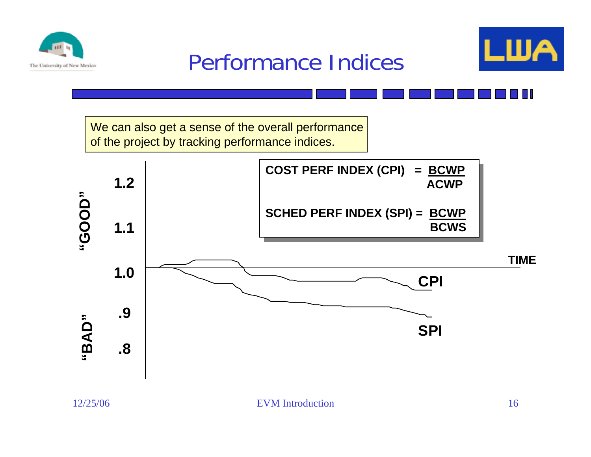



# Performance Indices

We can also get a sense of the overall performance of the project by tracking performance indices.**COST PERF INDEX (CPI) = BCWP COST PERF INDEX (CPI) = BCWP 1.2 ACWPACWP**"GOOD" **"GOOD" SCHED PERF INDEX (SPI) = BCWP SCHED PERF INDEX (SPI) = BCWP 1.1BCWSBCWSTIME1.0 CPI .9 "BAD" SPI .8** 12/25/06 EVM Introduction 16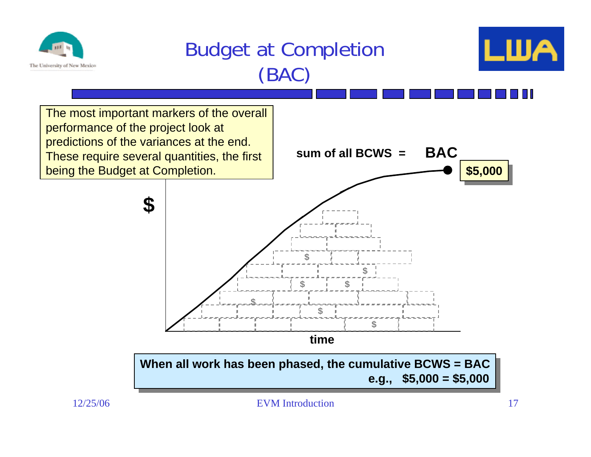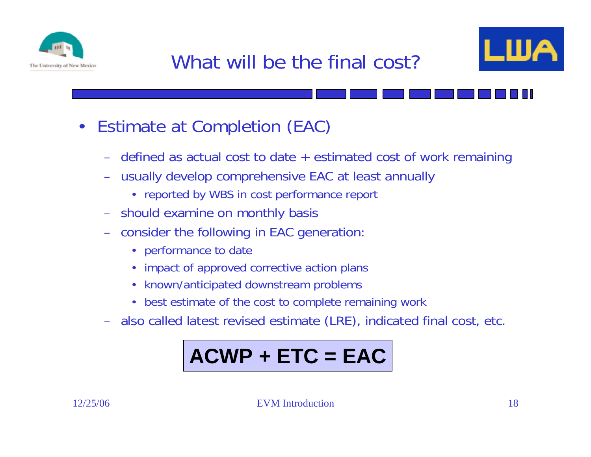



- Estimate at Completion (EAC)
	- defined as actual cost to date + estimated cost of work remaining
	- usually develop comprehensive EAC at least annually
		- reported by WBS in cost performance report
	- should examine on monthly basis
	- consider the following in EAC generation:
		- performance to date
		- impact of approved corrective action plans
		- known/anticipated downstream problems
		- best estimate of the cost to complete remaining work
	- also called latest revised estimate (LRE), indicated final cost, etc.

# **ACWP + ETC = EAC**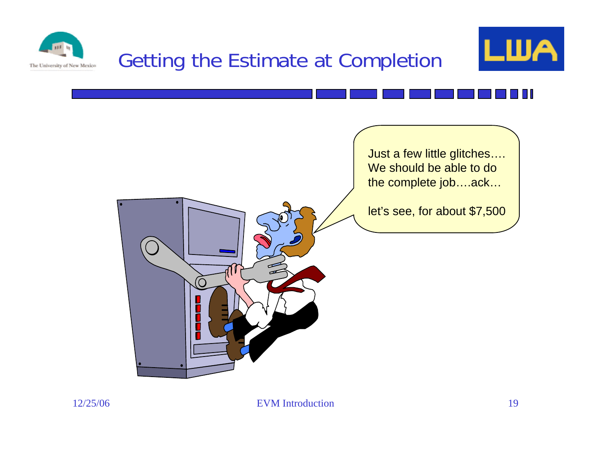

### Getting the Estimate at Completion



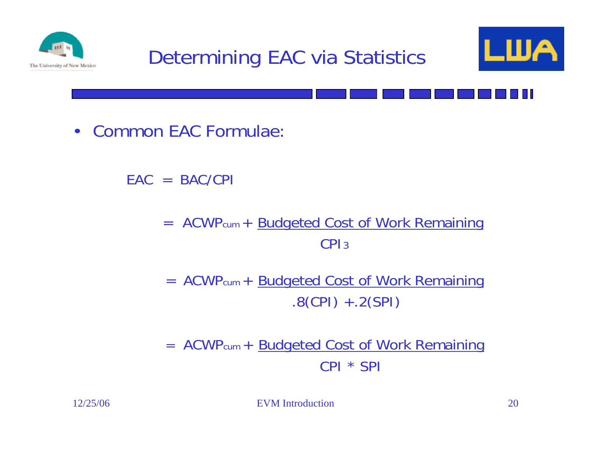



• Common EAC Formulae:

 $EAC = BAC/CPI$ 

= ACWPcum + Budgeted Cost of Work Remaining CPI 3

= ACWPcum + Budgeted Cost of Work Remaining  $.8(CPI) + .2(SPI)$ 

= ACWPcum + Budgeted Cost of Work Remaining CPI \* SPI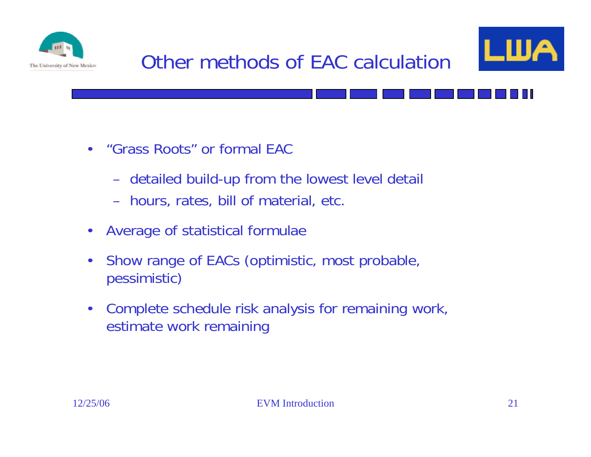



- "Grass Roots" or formal EAC
	- detailed build-up from the lowest level detail
	- hours, rates, bill of material, etc.
- $\bullet$ Average of statistical formulae
- $\bullet$  Show range of EACs (optimistic, most probable, pessimistic)
- $\bullet$  Complete schedule risk analysis for remaining work, estimate work remaining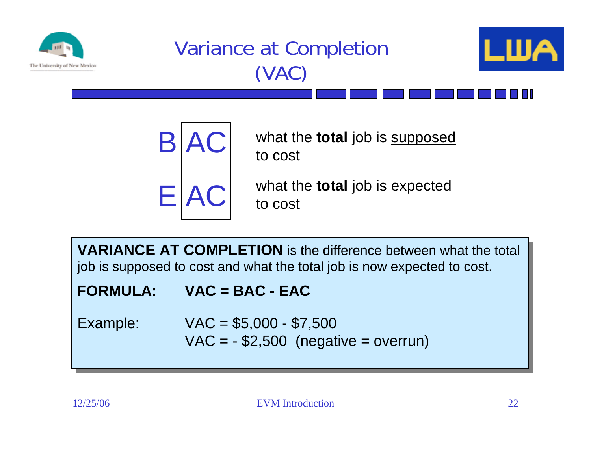

VAC = - \$2,500 (negative = overrun) VAC = - \$2,500 (negative = overrun)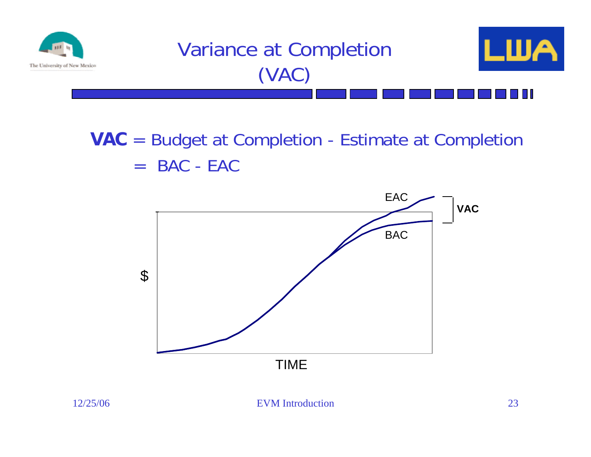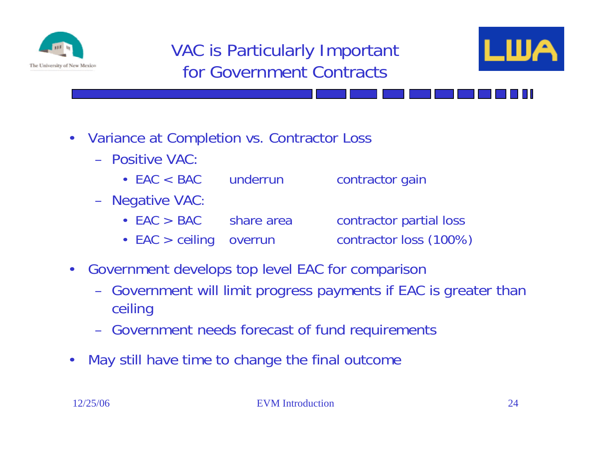

### VAC is Particularly Important for Government Contracts



- $\bullet$  Variance at Completion vs. Contractor Loss
	- Positive VAC:
		- $\cdot$  FAC  $\lt$  BAC
	- Negative VAC:
		- $\cdot$  EAC  $>$  BAC
		- EAC > ceiling overrun contractor loss (100%)

extending underrun and the contractor gain

share area **contractor partial loss** 

- $\bullet$  Government develops top level EAC for comparison
	- Government will limit progress payments if EAC is greater than ceiling
	- Government needs forecast of fund requirements
- $\bullet$ May still have time to change the final outcome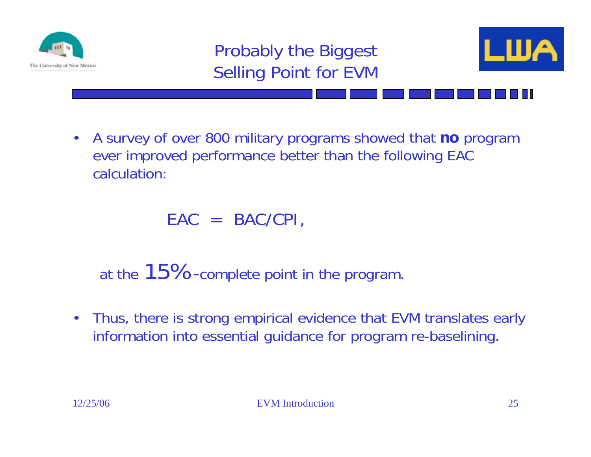



• A survey of over 800 military programs showed that **no** program ever improved performance better than the following EAC calculation:

 $EAC = BAC/CPI$ 

at the  $15\%$ -complete point in the program.

 $\bullet$  Thus, there is strong empirical evidence that EVM translates early information into essential guidance for program re-baselining.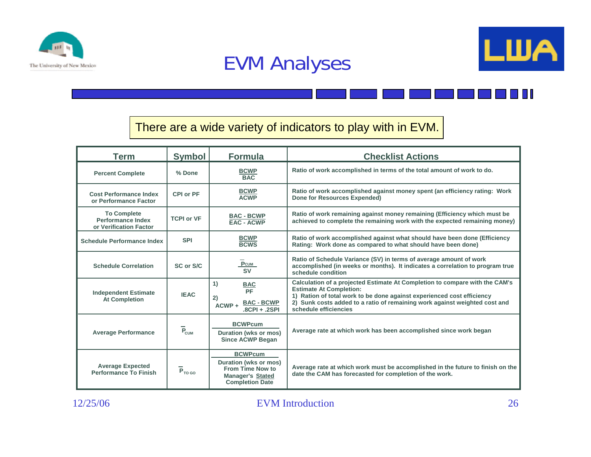





M.

### There are a wide variety of indicators to play with in EVM.

| Term                                                                     | <b>Symbol</b>                 | <b>Formula</b>                                                                                                          | <b>Checklist Actions</b>                                                                                                                                                                                                                                                                       |
|--------------------------------------------------------------------------|-------------------------------|-------------------------------------------------------------------------------------------------------------------------|------------------------------------------------------------------------------------------------------------------------------------------------------------------------------------------------------------------------------------------------------------------------------------------------|
| <b>Percent Complete</b>                                                  | % Done                        | <b>BCWP</b><br>BAC                                                                                                      | Ratio of work accomplished in terms of the total amount of work to do.                                                                                                                                                                                                                         |
| <b>Cost Performance Index</b><br>or Performance Factor                   | CPI or PF                     | <b>BCWP</b><br><b>ACWP</b>                                                                                              | Ratio of work accomplished against money spent (an efficiency rating: Work<br>Done for Resources Expended)                                                                                                                                                                                     |
| <b>To Complete</b><br><b>Performance Index</b><br>or Verification Factor | <b>TCPI or VF</b>             | <b>BAC - BCWP</b><br><b>EAC - ACWP</b>                                                                                  | Ratio of work remaining against money remaining (Efficiency which must be<br>achieved to complete the remaining work with the expected remaining money)                                                                                                                                        |
| <b>Schedule Performance Index</b>                                        | <b>SPI</b>                    | <b>BCWP</b><br><b>BCWS</b>                                                                                              | Ratio of work accomplished against what should have been done (Efficiency<br>Rating: Work done as compared to what should have been done)                                                                                                                                                      |
| <b>Schedule Correlation</b>                                              | SC or S/C                     | PCUM<br><b>SV</b>                                                                                                       | Ratio of Schedule Variance (SV) in terms of average amount of work<br>accomplished (in weeks or months). It indicates a correlation to program true<br>schedule condition                                                                                                                      |
| <b>Independent Estimate</b><br><b>At Completion</b>                      | <b>IEAC</b>                   | 1)<br><b>BAC</b><br>PF<br>2)<br><b>BAC - BCWP</b><br>$ACWP +$<br>$.8$ CPI + $.2$ SPI                                    | Calculation of a projected Estimate At Completion to compare with the CAM's<br><b>Estimate At Completion:</b><br>1) Ration of total work to be done against experienced cost efficiency<br>2) Sunk costs added to a ratio of remaining work against weighted cost and<br>schedule efficiencies |
| <b>Average Performance</b>                                               | $\overline{P}_{\texttt{CUM}}$ | <b>BCWPcum</b><br>Duration (wks or mos)<br><b>Since ACWP Began</b>                                                      | Average rate at which work has been accomplished since work began                                                                                                                                                                                                                              |
| <b>Average Expected</b><br><b>Performance To Finish</b>                  | $\overline{P}_{TO, GO}$       | <b>BCWPcum</b><br>Duration (wks or mos)<br><b>From Time Now to</b><br><b>Manager's Stated</b><br><b>Completion Date</b> | Average rate at which work must be accomplished in the future to finish on the<br>date the CAM has forecasted for completion of the work.                                                                                                                                                      |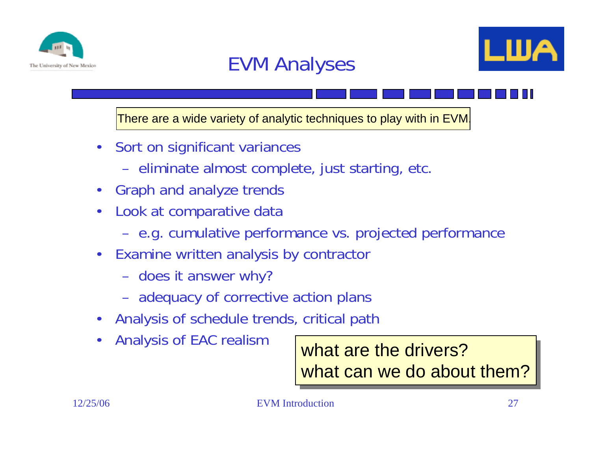

### EVM Analyses



There are a wide variety of analytic techniques to play with in EVM.

- $\bullet$  Sort on significant variances
	- eliminate almost complete, just starting, etc.
- •Graph and analyze trends
- $\bullet$  Look at comparative data
	- e.g. cumulative performance vs. projected performance
- $\bullet$  Examine written analysis by contractor
	- does it answer why?
	- adequacy of corrective action plans
- $\bullet$ Analysis of schedule trends, critical path
- $\bullet$

Analysis of EAC realism **what are the drivers?** what can we do about them?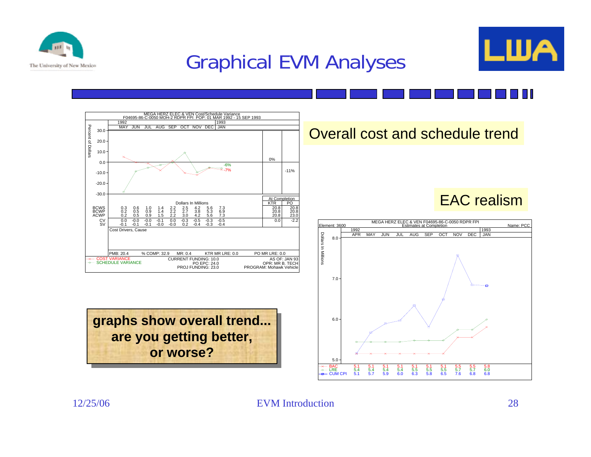

# Graphical EVM Analyses





LRE CUM CPI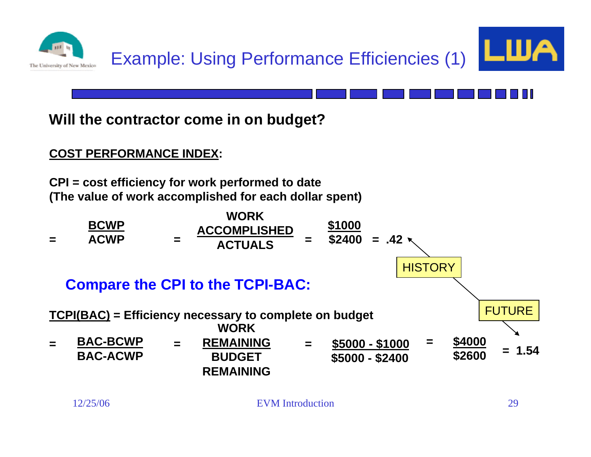

### **Will the contractor come in on budget?**

### **COST PERFORMANCE INDEX:**

**CPI = cost efficiency for work performed to date (The value of work accomplished for each dollar spent)**

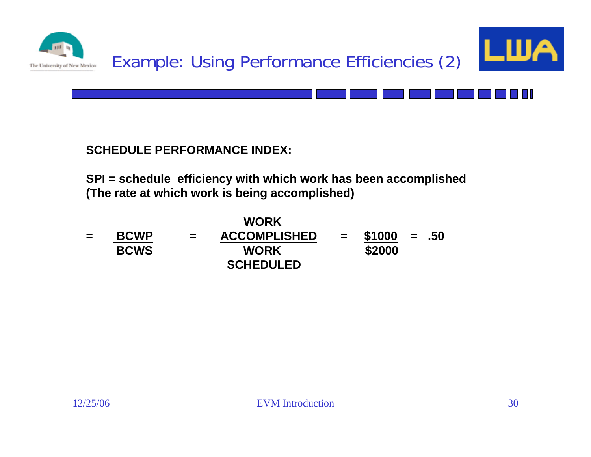

**SCHEDULE PERFORMANCE INDEX:**

**SPI = schedule efficiency with which work has been accomplished (The rate at which work is being accomplished)**

|          |             |          | <b>WORK</b>         |                  |  |
|----------|-------------|----------|---------------------|------------------|--|
| $\equiv$ | <b>BCWP</b> | $\equiv$ | <b>ACCOMPLISHED</b> | $=$ \$1000 = .50 |  |
|          | <b>BCWS</b> |          | <b>WORK</b>         | \$2000           |  |
|          |             |          | <b>SCHEDULED</b>    |                  |  |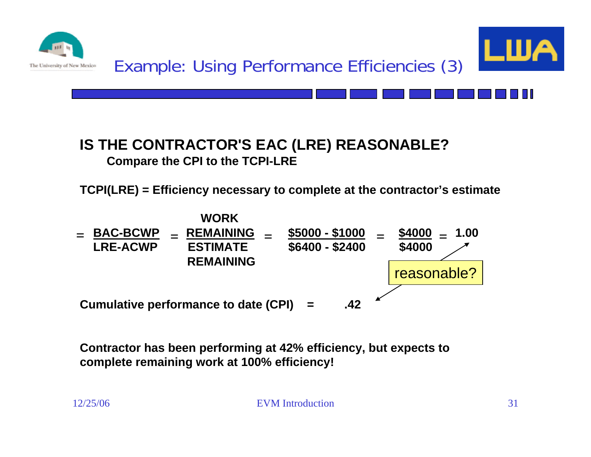

### **IS THE CONTRACTOR'S EAC (LRE) REASONABLE? Compare the CPI to the TCPI-LRE**

**TCPI(LRE) = Efficiency necessary to complete at the contractor's estimate**

**WORKBAC-BCWP = REMAINING \$5000 - \$1000 \$4000 1.00 <sup>=</sup>LRE-ACWP ESTIMATE \$6400 - \$2400 \$4000 REMAININGCumulative performance to date (CPI) = .42**  reasonable? **=** $$4000 - 1.00$ 

**Contractor has been performing at 42% efficiency, but expects to complete remaining work at 100% efficiency!**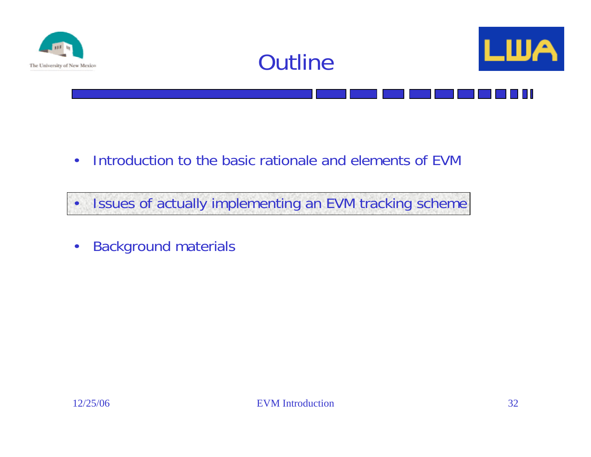

•Introduction to the basic rationale and elements of EVM

•Issues of actually implementing an EVM tracking scheme

•Background materials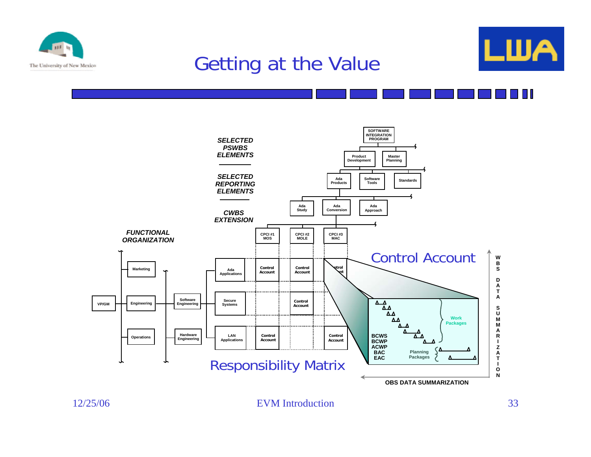



### Getting at the Value

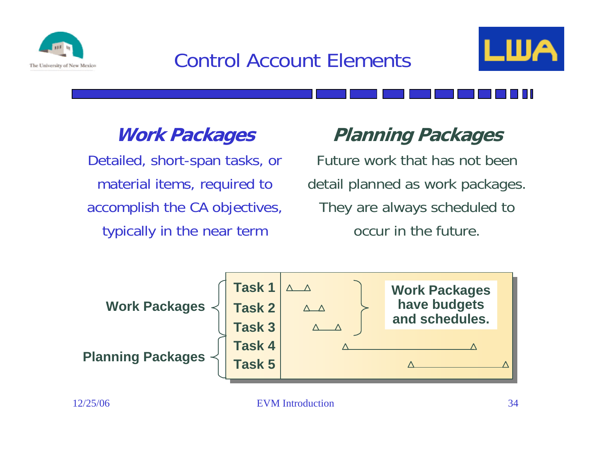

### Control Account Elements



### **Work Packages**

Detailed, short-span tasks, or material items, required to accomplish the CA objectives, typically in the near term

### **Planning Packages**

Future work that has not been detail planned as work packages. They are always scheduled to occur in the future.

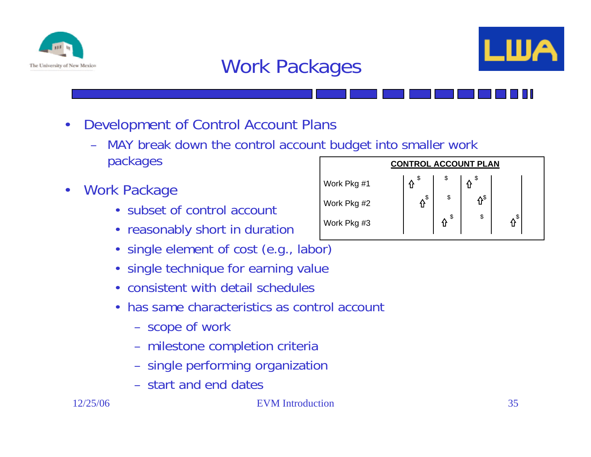





- $\bullet$  Development of Control Account Plans
	- MAY break down the control account budget into smaller work packages
- $\bullet$  Work Package
	- subset of control account
	- reasonably short in duration
	- single element of cost (e.g., labor)
	- single technique for earning value
	- consistent with detail schedules
	- has same characteristics as control account
		- scope of work
		- milestone completion criteria
		- single performing organization
		- start and end dates

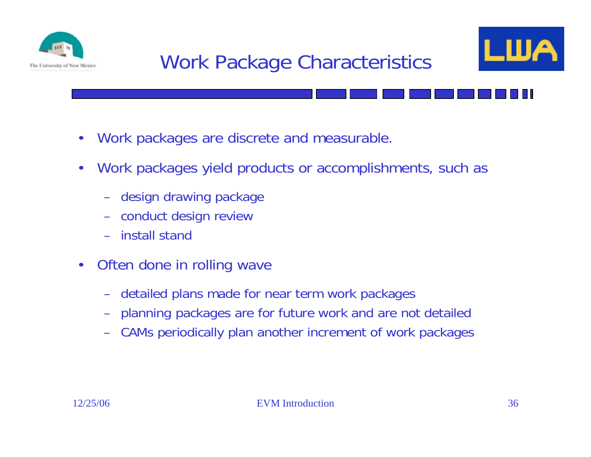



- •Work packages are discrete and measurable.
- $\bullet$  Work packages yield products or accomplishments, such as
	- design drawing package
	- conduct design review
	- install stand
- $\bullet$  Often done in rolling wave
	- detailed plans made for near term work packages
	- planning packages are for future work and are not detailed
	- CAMs periodically plan another increment of work packages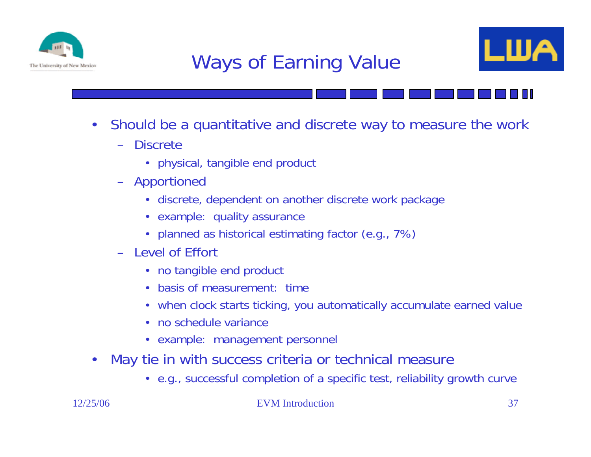

### Ways of Earning Value



- $\bullet$  Should be a quantitative and discrete way to measure the work
	- Discrete
		- physical, tangible end product
	- Apportioned
		- discrete, dependent on another discrete work package
		- example: quality assurance
		- planned as historical estimating factor (e.g., 7%)
	- Level of Effort
		- no tangible end product
		- basis of measurement: time
		- when clock starts ticking, you automatically accumulate earned value
		- no schedule variance
		- example: management personnel
- $\bullet$  May tie in with success criteria or technical measure
	- e.g., successful completion of a specific test, reliability growth curve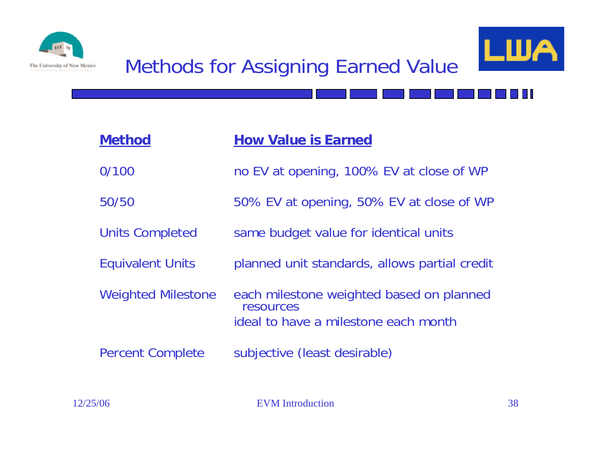



П

| <b>Method</b>             | <b>How Value is Earned</b>                                                                    |
|---------------------------|-----------------------------------------------------------------------------------------------|
| 0/100                     | no EV at opening, 100% EV at close of WP                                                      |
| 50/50                     | 50% EV at opening, 50% EV at close of WP                                                      |
| <b>Units Completed</b>    | same budget value for identical units                                                         |
| <b>Equivalent Units</b>   | planned unit standards, allows partial credit                                                 |
| <b>Weighted Milestone</b> | each milestone weighted based on planned<br>resources<br>ideal to have a milestone each month |
| <b>Percent Complete</b>   | subjective (least desirable)                                                                  |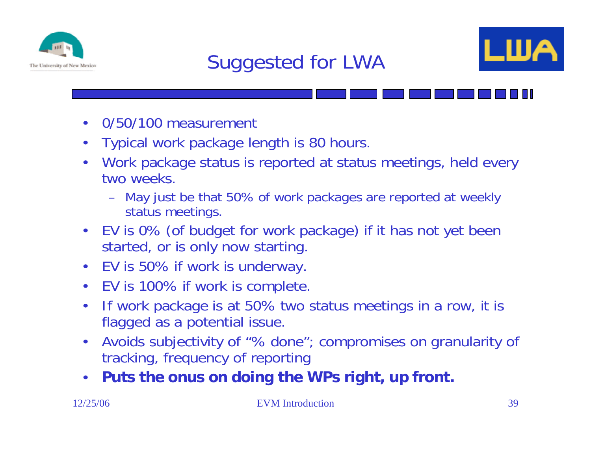

### Suggested for LWA



- $\bullet$ 0/50/100 measurement
- $\bullet$ Typical work package length is 80 hours.
- $\bullet$  Work package status is reported at status meetings, held every two weeks.
	- May just be that 50% of work packages are reported at weekly status meetings.
- $\bullet$  EV is 0% (of budget for work package) if it has not yet been started, or is only now starting.
- $\bullet$ EV is 50% if work is underway.
- EV is 100% if work is complete.
- • If work package is at 50% two status meetings in a row, it is flagged as a potential issue.
- $\bullet$  Avoids subjectivity of "% done"; compromises on granularity of tracking, frequency of reporting
- $\bullet$ **Puts the onus on doing the WPs right, up front.**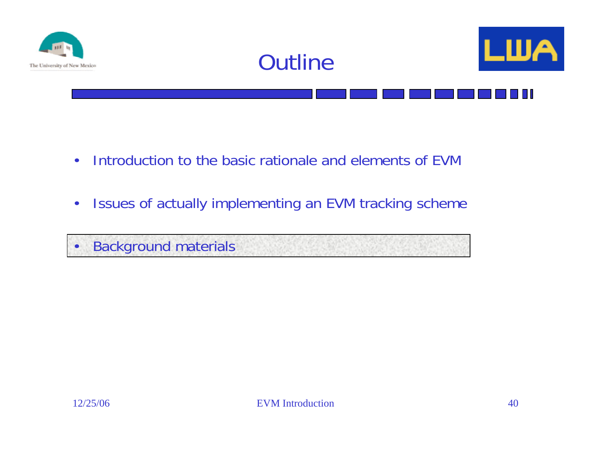

- •Introduction to the basic rationale and elements of EVM
- •Issues of actually implementing an EVM tracking scheme

•Background materials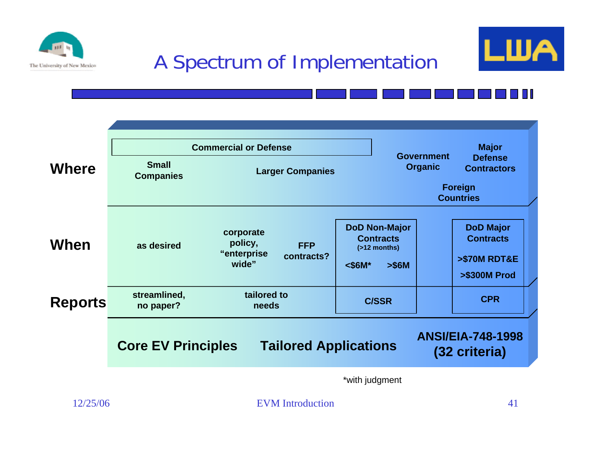



# A Spectrum of Implementation

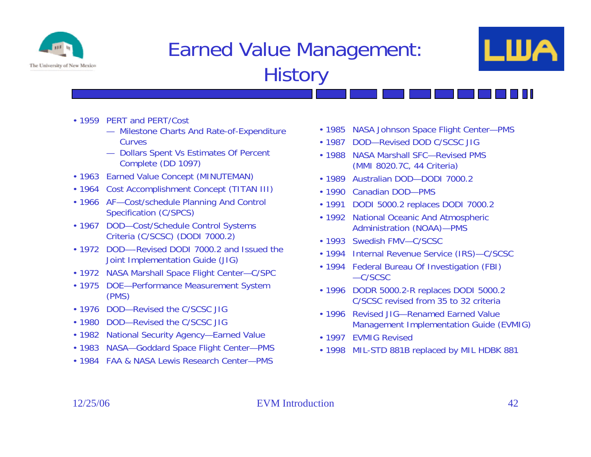

### Earned Value Management: **History**



- 1959 PERT and PERT/Cost
	- Milestone Charts And Rate-of-Expenditure Curves
	- Dollars Spent Vs Estimates Of Percent Complete (DD 1097)
- 1963 Earned Value Concept (MINUTEMAN)
- 1964 Cost Accomplishment Concept (TITAN III)
- 1966 AF—Cost/schedule Planning And Control Specification (C/SPCS)
- 1967 DOD—Cost/Schedule Control Systems Criteria (C/SCSC) (DODI 7000.2)
- 1972 DOD—-Revised DODI 7000.2 and Issued the Joint Implementation Guide (JIG)
- 1972 NASA Marshall Space Flight Center—C/SPC
- 1975 DOE—Performance Measurement System (PMS)
- 1976 DOD—Revised the C/SCSC JIG
- 1980 DOD—Revised the C/SCSC JIG
- 1982 National Security Agency—Earned Value
- 1983 NASA—Goddard Space Flight Center—PMS
- 1984 FAA & NASA Lewis Research Center—PMS
- 1985 NASA Johnson Space Flight Center—PMS
- 1987 DOD—Revised DOD C/SCSC JIG
- 1988 NASA Marshall SFC—Revised PMS(MMI 8020.7C, 44 Criteria)
- 1989 Australian DOD—DODI 7000.2
- 1990 Canadian DOD—PMS
- 1991 DODI 5000.2 replaces DODI 7000.2
- 1992 National Oceanic And Atmospheric Administration (NOAA)—PMS
- 1993 Swedish FMV—C/SCSC
- 1994 Internal Revenue Service (IRS)—C/SCSC
- 1994 Federal Bureau Of Investigation (FBI) —C/SCSC
- 1996 DODR 5000.2-R replaces DODI 5000.2 C/SCSC revised from 35 to 32 criteria
- 1996 Revised JIG—Renamed Earned Value Management Implementation Guide (EVMIG)
- 1997 EVMIG Revised
- 1998 MIL-STD 881B replaced by MIL HDBK 881